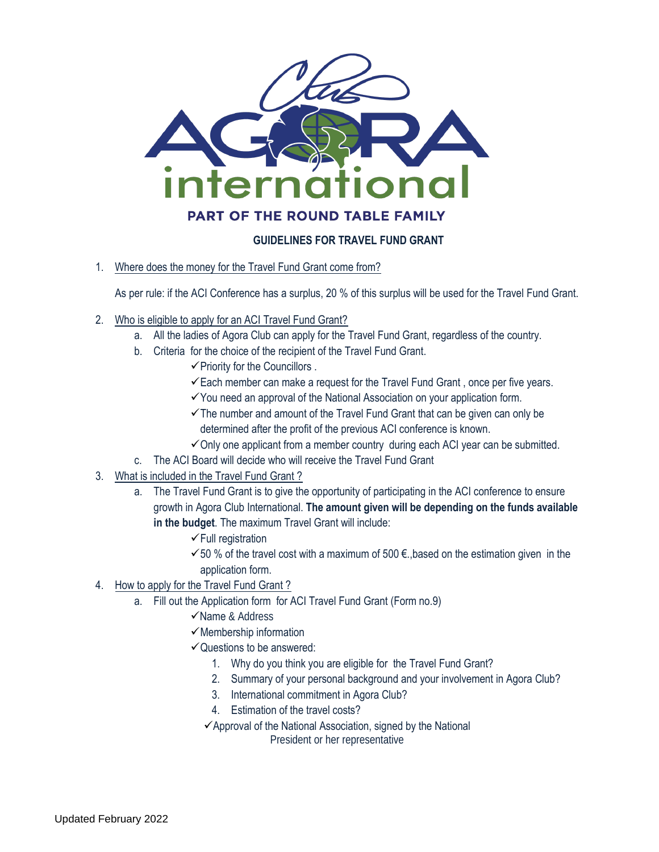

## **GUIDELINES FOR TRAVEL FUND GRANT**

1. Where does the money for the Travel Fund Grant come from?

As per rule: if the ACI Conference has a surplus, 20 % of this surplus will be used for the Travel Fund Grant.

- 2. Who is eligible to apply for an ACI Travel Fund Grant?
	- a. All the ladies of Agora Club can apply for the Travel Fund Grant, regardless of the country.
	- b. Criteria for the choice of the recipient of the Travel Fund Grant.
		- $\checkmark$  Priority for the Councillors .
			- $\checkmark$  Each member can make a request for the Travel Fund Grant, once per five years.
		- ✓You need an approval of the National Association on your application form.
		- $\checkmark$ The number and amount of the Travel Fund Grant that can be given can only be determined after the profit of the previous ACI conference is known.
		- $\checkmark$  Only one applicant from a member country during each ACI year can be submitted.
	- c. The ACI Board will decide who will receive the Travel Fund Grant
- 3. What is included in the Travel Fund Grant ?
	- a. The Travel Fund Grant is to give the opportunity of participating in the ACI conference to ensure growth in Agora Club International. **The amount given will be depending on the funds available in the budget**. The maximum Travel Grant will include:
		- ✓Full registration
		- $≤$  50 % of the travel cost with a maximum of 500 €, based on the estimation given in the application form.
- 4. How to apply for the Travel Fund Grant ?
	- a. Fill out the Application form for ACI Travel Fund Grant (Form no.9)
		- ✓Name & Address
		- $\checkmark$  Membership information
		- $\checkmark$  Questions to be answered:
			- 1. Why do you think you are eligible for the Travel Fund Grant?
			- 2. Summary of your personal background and your involvement in Agora Club?
			- 3. International commitment in Agora Club?
			- 4. Estimation of the travel costs?
			- $\checkmark$ Approval of the National Association, signed by the National President or her representative